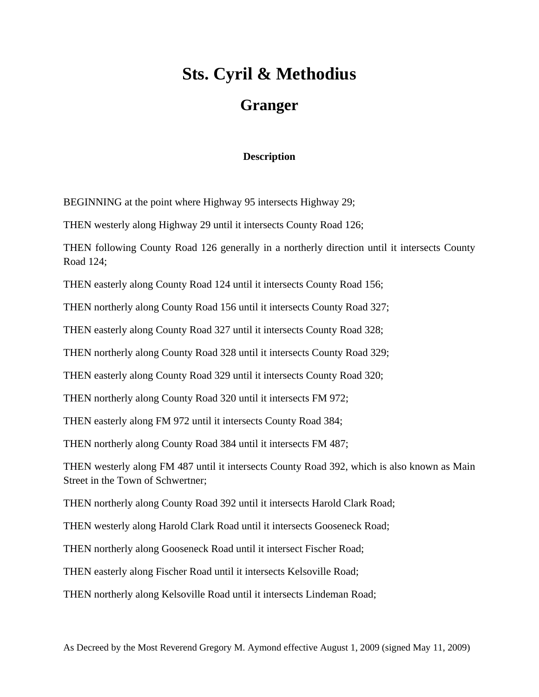## **Sts. Cyril & Methodius Granger**

## **Description**

BEGINNING at the point where Highway 95 intersects Highway 29;

THEN westerly along Highway 29 until it intersects County Road 126;

THEN following County Road 126 generally in a northerly direction until it intersects County Road 124;

THEN easterly along County Road 124 until it intersects County Road 156;

THEN northerly along County Road 156 until it intersects County Road 327;

THEN easterly along County Road 327 until it intersects County Road 328;

THEN northerly along County Road 328 until it intersects County Road 329;

THEN easterly along County Road 329 until it intersects County Road 320;

THEN northerly along County Road 320 until it intersects FM 972;

THEN easterly along FM 972 until it intersects County Road 384;

THEN northerly along County Road 384 until it intersects FM 487;

THEN westerly along FM 487 until it intersects County Road 392, which is also known as Main Street in the Town of Schwertner;

THEN northerly along County Road 392 until it intersects Harold Clark Road;

THEN westerly along Harold Clark Road until it intersects Gooseneck Road;

THEN northerly along Gooseneck Road until it intersect Fischer Road;

THEN easterly along Fischer Road until it intersects Kelsoville Road;

THEN northerly along Kelsoville Road until it intersects Lindeman Road;